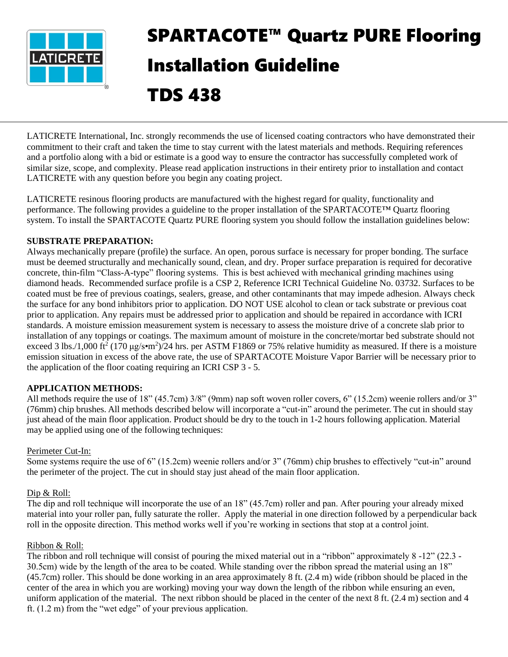

# SPARTACOTE™ Quartz PURE Flooring Installation Guideline

TDS 438

LATICRETE International, Inc. strongly recommends the use of licensed coating contractors who have demonstrated their commitment to their craft and taken the time to stay current with the latest materials and methods. Requiring references and a portfolio along with a bid or estimate is a good way to ensure the contractor has successfully completed work of similar size, scope, and complexity. Please read application instructions in their entirety prior to installation and contact LATICRETE with any question before you begin any coating project.

LATICRETE resinous flooring products are manufactured with the highest regard for quality, functionality and performance. The following provides a guideline to the proper installation of the SPARTACOTE™ Quartz flooring system. To install the SPARTACOTE Quartz PURE flooring system you should follow the installation guidelines below:

## **SUBSTRATE PREPARATION:**

Always mechanically prepare (profile) the surface. An open, porous surface is necessary for proper bonding. The surface must be deemed structurally and mechanically sound, clean, and dry. Proper surface preparation is required for decorative concrete, thin-film "Class-A-type" flooring systems. This is best achieved with mechanical grinding machines using diamond heads. Recommended surface profile is a CSP 2, Reference ICRI Technical Guideline No. 03732. Surfaces to be coated must be free of previous coatings, sealers, grease, and other contaminants that may impede adhesion. Always check the surface for any bond inhibitors prior to application. DO NOT USE alcohol to clean or tack substrate or previous coat prior to application. Any repairs must be addressed prior to application and should be repaired in accordance with ICRI standards. A moisture emission measurement system is necessary to assess the moisture drive of a concrete slab prior to installation of any toppings or coatings. The maximum amount of moisture in the concrete/mortar bed substrate should not exceed 3 lbs./1,000 ft<sup>2</sup> (170  $\mu$ g/s•m<sup>2</sup>)/24 hrs. per ASTM F1869 or 75% relative humidity as measured. If there is a moisture emission situation in excess of the above rate, the use of SPARTACOTE Moisture Vapor Barrier will be necessary prior to the application of the floor coating requiring an ICRI CSP 3 - 5.

## **APPLICATION METHODS:**

All methods require the use of 18" (45.7cm) 3/8" (9mm) nap soft woven roller covers, 6" (15.2cm) weenie rollers and/or 3" (76mm) chip brushes. All methods described below will incorporate a "cut-in" around the perimeter. The cut in should stay just ahead of the main floor application. Product should be dry to the touch in 1-2 hours following application. Material may be applied using one of the following techniques:

## Perimeter Cut-In:

Some systems require the use of 6" (15.2cm) weenie rollers and/or 3" (76mm) chip brushes to effectively "cut-in" around the perimeter of the project. The cut in should stay just ahead of the main floor application.

## Dip & Roll:

The dip and roll technique will incorporate the use of an 18" (45.7cm) roller and pan. After pouring your already mixed material into your roller pan, fully saturate the roller. Apply the material in one direction followed by a perpendicular back roll in the opposite direction. This method works well if you're working in sections that stop at a control joint.

## Ribbon & Roll:

The ribbon and roll technique will consist of pouring the mixed material out in a "ribbon" approximately 8 -12" (22.3 - 30.5cm) wide by the length of the area to be coated. While standing over the ribbon spread the material using an 18" (45.7cm) roller. This should be done working in an area approximately 8 ft. (2.4 m) wide (ribbon should be placed in the center of the area in which you are working) moving your way down the length of the ribbon while ensuring an even, uniform application of the material. The next ribbon should be placed in the center of the next 8 ft. (2.4 m) section and 4 ft. (1.2 m) from the "wet edge" of your previous application.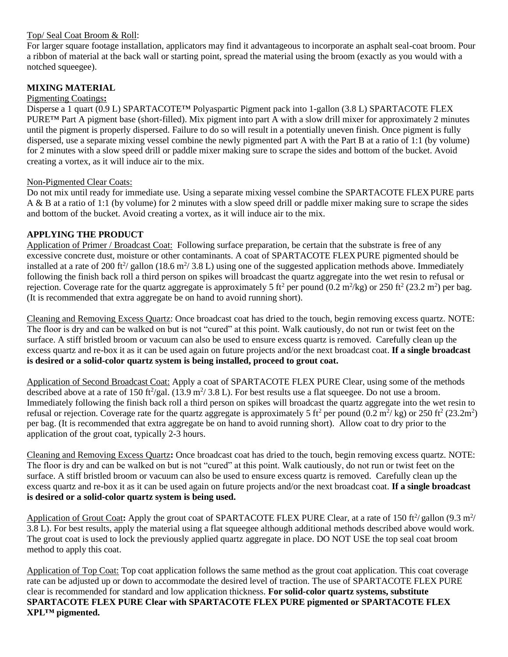#### Top/ Seal Coat Broom & Roll:

For larger square footage installation, applicators may find it advantageous to incorporate an asphalt seal-coat broom. Pour a ribbon of material at the back wall or starting point, spread the material using the broom (exactly as you would with a notched squeegee).

## **MIXING MATERIAL**

#### Pigmenting Coatings**:**

Disperse a 1 quart (0.9 L) SPARTACOTE™ Polyaspartic Pigment pack into 1-gallon (3.8 L) SPARTACOTE FLEX PURE™ Part A pigment base (short-filled). Mix pigment into part A with a slow drill mixer for approximately 2 minutes until the pigment is properly dispersed. Failure to do so will result in a potentially uneven finish. Once pigment is fully dispersed, use a separate mixing vessel combine the newly pigmented part A with the Part B at a ratio of 1:1 (by volume) for 2 minutes with a slow speed drill or paddle mixer making sure to scrape the sides and bottom of the bucket. Avoid creating a vortex, as it will induce air to the mix.

#### Non-Pigmented Clear Coats:

Do not mix until ready for immediate use. Using a separate mixing vessel combine the SPARTACOTE FLEX PURE parts A & B at a ratio of 1:1 (by volume) for 2 minutes with a slow speed drill or paddle mixer making sure to scrape the sides and bottom of the bucket. Avoid creating a vortex, as it will induce air to the mix.

## **APPLYING THE PRODUCT**

Application of Primer / Broadcast Coat: Following surface preparation, be certain that the substrate is free of any excessive concrete dust, moisture or other contaminants. A coat of SPARTACOTE FLEX PURE pigmented should be installed at a rate of 200 ft<sup>2</sup>/ gallon (18.6 m<sup>2</sup>/ 3.8 L) using one of the suggested application methods above. Immediately following the finish back roll a third person on spikes will broadcast the quartz aggregate into the wet resin to refusal or rejection. Coverage rate for the quartz aggregate is approximately 5 ft<sup>2</sup> per pound  $(0.2 \text{ m}^2/\text{kg})$  or 250 ft<sup>2</sup> (23.2 m<sup>2</sup>) per bag. (It is recommended that extra aggregate be on hand to avoid running short).

Cleaning and Removing Excess Quartz: Once broadcast coat has dried to the touch, begin removing excess quartz. NOTE: The floor is dry and can be walked on but is not "cured" at this point. Walk cautiously, do not run or twist feet on the surface. A stiff bristled broom or vacuum can also be used to ensure excess quartz is removed. Carefully clean up the excess quartz and re-box it as it can be used again on future projects and/or the next broadcast coat. **If a single broadcast is desired or a solid-color quartz system is being installed, proceed to grout coat.**

Application of Second Broadcast Coat: Apply a coat of SPARTACOTE FLEX PURE Clear, using some of the methods described above at a rate of 150 ft $\frac{2}{gal}$ . (13.9 m $\frac{2}{3}$ .8 L). For best results use a flat squeegee. Do not use a broom. Immediately following the finish back roll a third person on spikes will broadcast the quartz aggregate into the wet resin to refusal or rejection. Coverage rate for the quartz aggregate is approximately 5 ft<sup>2</sup> per pound (0.2 m<sup>2</sup>/kg) or 250 ft<sup>2</sup> (23.2m<sup>2</sup>) per bag. (It is recommended that extra aggregate be on hand to avoid running short). Allow coat to dry prior to the application of the grout coat, typically 2-3 hours.

Cleaning and Removing Excess Quartz**:** Once broadcast coat has dried to the touch, begin removing excess quartz. NOTE: The floor is dry and can be walked on but is not "cured" at this point. Walk cautiously, do not run or twist feet on the surface. A stiff bristled broom or vacuum can also be used to ensure excess quartz is removed. Carefully clean up the excess quartz and re-box it as it can be used again on future projects and/or the next broadcast coat. **If a single broadcast is desired or a solid-color quartz system is being used.**

Application of Grout Coat: Apply the grout coat of SPARTACOTE FLEX PURE Clear, at a rate of 150 ft<sup>2</sup>/gallon (9.3 m<sup>2</sup>/ 3.8 L). For best results, apply the material using a flat squeegee although additional methods described above would work. The grout coat is used to lock the previously applied quartz aggregate in place. DO NOT USE the top seal coat broom method to apply this coat.

Application of Top Coat: Top coat application follows the same method as the grout coat application. This coat coverage rate can be adjusted up or down to accommodate the desired level of traction. The use of SPARTACOTE FLEX PURE clear is recommended for standard and low application thickness. **For solid-color quartz systems, substitute SPARTACOTE FLEX PURE Clear with SPARTACOTE FLEX PURE pigmented or SPARTACOTE FLEX XPL™ pigmented.**